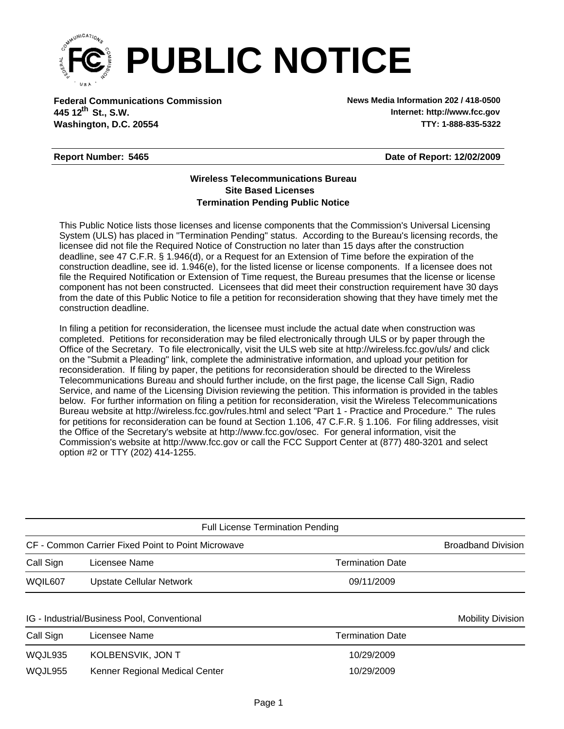

**Federal Communications Commission News Media Information 202 / 418-0500 Washington, D.C. 20554 TTY: 1-888-835-5322 445 12<sup>th</sup> St., S.W.** 

**Internet: http://www.fcc.gov**

## **Report Number: 5465**

**Date of Report: 12/02/2009**

## **Wireless Telecommunications Bureau Site Based Licenses Termination Pending Public Notice**

This Public Notice lists those licenses and license components that the Commission's Universal Licensing System (ULS) has placed in "Termination Pending" status. According to the Bureau's licensing records, the licensee did not file the Required Notice of Construction no later than 15 days after the construction deadline, see 47 C.F.R. § 1.946(d), or a Request for an Extension of Time before the expiration of the construction deadline, see id. 1.946(e), for the listed license or license components. If a licensee does not file the Required Notification or Extension of Time request, the Bureau presumes that the license or license component has not been constructed. Licensees that did meet their construction requirement have 30 days from the date of this Public Notice to file a petition for reconsideration showing that they have timely met the construction deadline.

In filing a petition for reconsideration, the licensee must include the actual date when construction was completed. Petitions for reconsideration may be filed electronically through ULS or by paper through the Office of the Secretary. To file electronically, visit the ULS web site at http://wireless.fcc.gov/uls/ and click on the "Submit a Pleading" link, complete the administrative information, and upload your petition for reconsideration. If filing by paper, the petitions for reconsideration should be directed to the Wireless Telecommunications Bureau and should further include, on the first page, the license Call Sign, Radio Service, and name of the Licensing Division reviewing the petition. This information is provided in the tables below. For further information on filing a petition for reconsideration, visit the Wireless Telecommunications Bureau website at http://wireless.fcc.gov/rules.html and select "Part 1 - Practice and Procedure." The rules for petitions for reconsideration can be found at Section 1.106, 47 C.F.R. § 1.106. For filing addresses, visit the Office of the Secretary's website at http://www.fcc.gov/osec. For general information, visit the Commission's website at http://www.fcc.gov or call the FCC Support Center at (877) 480-3201 and select option #2 or TTY (202) 414-1255.

| <b>Full License Termination Pending</b>            |                                |                         |                          |  |  |  |  |  |
|----------------------------------------------------|--------------------------------|-------------------------|--------------------------|--|--|--|--|--|
| CF - Common Carrier Fixed Point to Point Microwave | <b>Broadband Division</b>      |                         |                          |  |  |  |  |  |
| Call Sign                                          | Licensee Name                  | <b>Termination Date</b> |                          |  |  |  |  |  |
| WQIL607                                            | Upstate Cellular Network       | 09/11/2009              |                          |  |  |  |  |  |
| IG - Industrial/Business Pool, Conventional        |                                |                         | <b>Mobility Division</b> |  |  |  |  |  |
| Call Sign                                          | Licensee Name                  | <b>Termination Date</b> |                          |  |  |  |  |  |
| WQJL935                                            | KOLBENSVIK, JON T              | 10/29/2009              |                          |  |  |  |  |  |
| WQJL955                                            | Kenner Regional Medical Center | 10/29/2009              |                          |  |  |  |  |  |